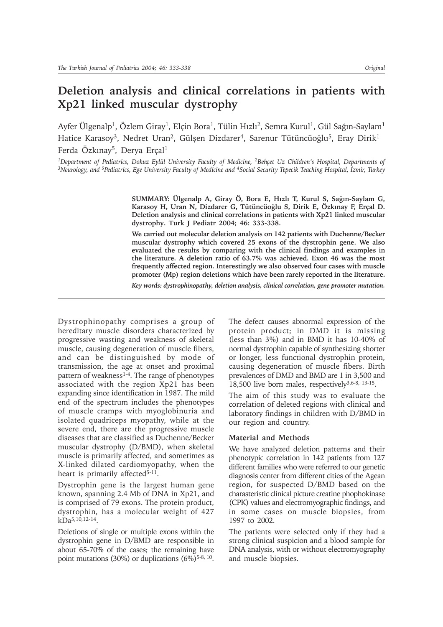# **Deletion analysis and clinical correlations in patients with Xp21 linked muscular dystrophy**

Ayfer Ülgenalp<sup>1</sup>, Özlem Giray<sup>1</sup>, Elçin Bora<sup>1</sup>, Tülin Hızlı<sup>2</sup>, Semra Kurul<sup>1</sup>, Gül Sağın-Saylam<sup>1</sup> Hatice Karasoy<sup>3</sup>, Nedret Uran<sup>2</sup>, Gülşen Dizdarer<sup>4</sup>, Sarenur Tütüncüoğlu<sup>5</sup>, Eray Dirik<sup>1</sup> Ferda Özkınay<sup>5</sup>, Derya Erçal<sup>1</sup>

<sup>1</sup>Department of Pediatrics, Dokuz Eylül University Faculty of Medicine, <sup>2</sup>Behçet Uz Children's Hospital, Departments of <sup>3</sup>Neurology, and <sup>5</sup>Pediatrics, Ege University Faculty of Medicine and <sup>4</sup>Social Security Tepecik Teaching Hospital, İzmir, Turkey

> SUMMARY: Ülgenalp A, Giray Ö, Bora E, Hızlı T, Kurul S, Sağın-Saylam G, Karasoy H, Uran N, Dizdarer G, Tütüncüoğlu S, Dirik E, Özkınay F, Erçal D. **Deletion analysis and clinical correlations in patients with Xp21 linked muscular dystrophy. Turk J Pediatr 2004; 46: 333-338.**

> **We carried out molecular deletion analysis on 142 patients with Duchenne/Becker muscular dystrophy which covered 25 exons of the dystrophin gene. We also evaluated the results by comparing with the clinical findings and examples in the literature. A deletion ratio of 63.7% was achieved. Exon 46 was the most frequently affected region. Interestingly we also observed four cases with muscle promoter (Mp) region deletions which have been rarely reported in the literature.**

> *Key words: dystrophinopathy, deletion analysis, clinical correlation, gene promoter mutation.*

Dystrophinopathy comprises a group of hereditary muscle disorders characterized by progressive wasting and weakness of skeletal muscle, causing degeneration of muscle fibers, and can be distinguished by mode of transmission, the age at onset and proximal pattern of weakness<sup>1-4</sup>. The range of phenotypes associated with the region Xp21 has been expanding since identification in 1987. The mild end of the spectrum includes the phenotypes of muscle cramps with myoglobinuria and isolated quadriceps myopathy, while at the severe end, there are the progressive muscle diseases that are classified as Duchenne/Becker muscular dystrophy (D/BMD), when skeletal muscle is primarily affected, and sometimes as X-linked dilated cardiomyopathy, when the heart is primarily affected<sup>5-11</sup>.

Dystrophin gene is the largest human gene known, spanning 2.4 Mb of DNA in Xp21, and is comprised of 79 exons. The protein product, dystrophin, has a molecular weight of 427  $kDa^{5,10,12-14}$ .

Deletions of single or multiple exons within the dystrophin gene in D/BMD are responsible in about 65-70% of the cases; the remaining have point mutations  $(30\%)$  or duplications  $(6\%)$ <sup>5-8, 10</sup>.

The defect causes abnormal expression of the protein product; in DMD it is missing (less than 3%) and in BMD it has 10-40% of normal dystrophin capable of synthesizing shorter or longer, less functional dystrophin protein, causing degeneration of muscle fibers. Birth prevalences of DMD and BMD are 1 in 3,500 and 18,500 live born males, respectively $3,6-8, 13-15$ .

The aim of this study was to evaluate the correlation of deleted regions with clinical and laboratory findings in children with D/BMD in our region and country.

#### **Material and Methods**

We have analyzed deletion patterns and their phenotypic correlation in 142 patients from 127 different families who were referred to our genetic diagnosis center from different cities of the Agean region, for suspected D/BMD based on the charasteristic clinical picture creatine phophokinase (CPK) values and electromyographic findings, and in some cases on muscle biopsies, from 1997 to 2002.

The patients were selected only if they had a strong clinical suspicion and a blood sample for DNA analysis, with or without electromyography and muscle biopsies.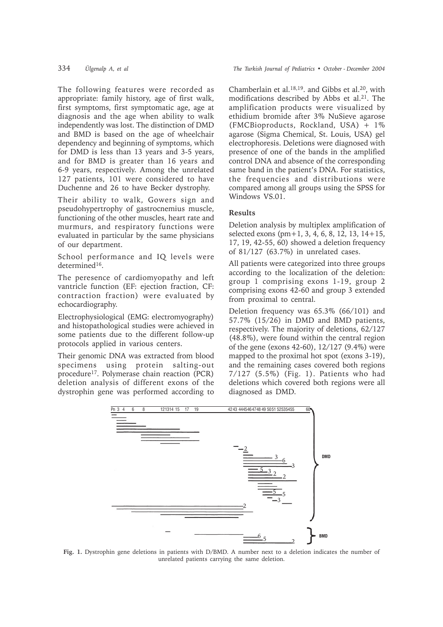The following features were recorded as appropriate: family history, age of first walk, first symptoms, first symptomatic age, age at diagnosis and the age when ability to walk independently was lost. The distinction of DMD and BMD is based on the age of wheelchair dependency and beginning of symptoms, which for DMD is less than 13 years and 3-5 years, and for BMD is greater than 16 years and 6-9 years, respectively. Among the unrelated 127 patients, 101 were considered to have Duchenne and 26 to have Becker dystrophy.

Their ability to walk, Gowers sign and pseudohypertrophy of gastrocnemius muscle, functioning of the other muscles, heart rate and murmurs, and respiratory functions were evaluated in particular by the same physicians of our department.

School performance and IQ levels were determined<sup>16</sup>.

The peresence of cardiomyopathy and left vantricle function (EF: ejection fraction, CF: contraction fraction) were evaluated by echocardiography.

Electrophysiological (EMG: electromyography) and histopathological studies were achieved in some patients due to the different follow-up protocols applied in various centers.

Their genomic DNA was extracted from blood specimens using protein salting-out procedure17. Polymerase chain reaction (PCR) deletion analysis of different exons of the dystrophin gene was performed according to

334 *ilgenalp A, et al* The Turkish Journal of Pediatrics • October - December 2004

Chamberlain et al.18,19. and Gibbs et al.20, with modifications described by Abbs et al.<sup>21</sup>. The amplification products were visualized by ethidium bromide after 3% NuSieve agarose (FMCBioproducts, Rockland, USA) + 1% agarose (Sigma Chemical, St. Louis, USA) gel electrophoresis. Deletions were diagnosed with presence of one of the bands in the amplified control DNA and absence of the corresponding same band in the patient's DNA. For statistics, the frequencies and distributions were compared among all groups using the SPSS for Windows VS.01.

## **Results**

Deletion analysis by multiplex amplification of selected exons (pm+1, 3, 4, 6, 8, 12, 13, 14+15, 17, 19, 42-55, 60) showed a deletion frequency of 81/127 (63.7%) in unrelated cases.

All patients were categorized into three groups according to the localization of the deletion: group 1 comprising exons 1-19, group 2 comprising exons 42-60 and group 3 extended from proximal to central.

Deletion frequency was 65.3% (66/101) and 57.7% (15/26) in DMD and BMD patients, respectively. The majority of deletions, 62/127 (48.8%), were found within the central region of the gene (exons 42-60), 12/127 (9.4%) were mapped to the proximal hot spot (exons 3-19), and the remaining cases covered both regions 7/127 (5.5%) (Fig. 1). Patients who had deletions which covered both regions were all diagnosed as DMD.



**Fig. 1.** Dystrophin gene deletions in patients with D/BMD. A number next to a deletion indicates the number of unrelated patients carrying the same deletion.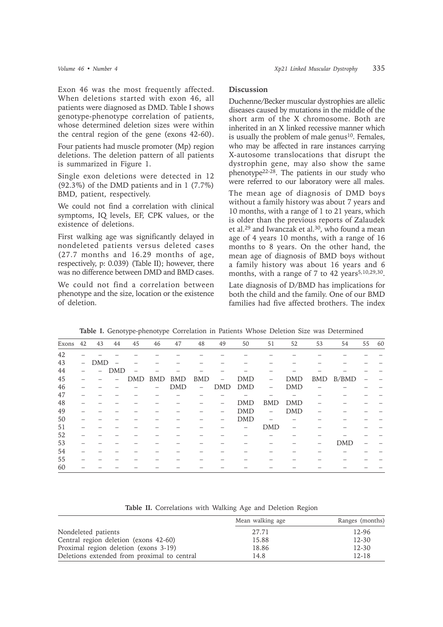Exon 46 was the most frequently affected. When deletions started with exon 46, all patients were diagnosed as DMD. Table I shows genotype-phenotype correlation of patients, whose determined deletion sizes were within the central region of the gene (exons 42-60).

Four patients had muscle promoter (Mp) region deletions. The deletion pattern of all patients is summarized in Figure 1.

Single exon deletions were detected in 12 (92.3%) of the DMD patients and in 1 (7.7%) BMD, patient, respectively.

We could not find a correlation with clinical symptoms, IQ levels, EF, CPK values, or the existence of deletions.

First walking age was significantly delayed in nondeleted patients versus deleted cases (27.7 months and 16.29 months of age, respectively, p: 0.039) (Table II); however, there was no difference between DMD and BMD cases.

We could not find a correlation between phenotype and the size, location or the existence of deletion.

### **Discussion**

Duchenne/Becker muscular dystrophies are allelic diseases caused by mutations in the middle of the short arm of the X chromosome. Both are inherited in an X linked recessive manner which is usually the problem of male genus $10$ . Females, who may be affected in rare instances carrying X-autosome translocations that disrupt the dystrophin gene, may also show the same phenotype22-28. The patients in our study who were referred to our laboratory were all males.

The mean age of diagnosis of DMD boys without a family history was about 7 years and 10 months, with a range of 1 to 21 years, which is older than the previous reports of Zalaudek et al.<sup>29</sup> and Iwanczak et al.<sup>30</sup>, who found a mean age of 4 years 10 months, with a range of 16 months to 8 years. On the other hand, the mean age of diagnosis of BMD boys without a family history was about 16 years and 6 months, with a range of 7 to 42 years<sup>5,10,29,30</sup>.

Late diagnosis of D/BMD has implications for both the child and the family. One of our BMD families had five affected brothers. The index

| Exons | 42                       | 43         | 44                       | 45  | 46         | 47         | 48                       | 49                       | 50         | 51                       | 52         | 53  | 54         | 55 | 60 |
|-------|--------------------------|------------|--------------------------|-----|------------|------------|--------------------------|--------------------------|------------|--------------------------|------------|-----|------------|----|----|
| 42    |                          |            |                          |     |            |            |                          |                          |            |                          |            |     |            |    |    |
| 43    | $\overline{\phantom{a}}$ | <b>DMD</b> | $\overline{\phantom{0}}$ |     |            |            |                          |                          |            |                          |            |     |            |    |    |
| 44    |                          |            | <b>DMD</b>               |     |            |            |                          |                          |            |                          |            |     |            |    |    |
| 45    |                          |            |                          | DMD | <b>BMD</b> | <b>BMD</b> | <b>BMD</b>               | $\overline{\phantom{0}}$ | <b>DMD</b> | $\qquad \qquad -$        | <b>DMD</b> | BMD | B/BMD      |    |    |
| 46    |                          |            |                          |     |            | <b>DMD</b> | $\overline{\phantom{m}}$ | <b>DMD</b>               | <b>DMD</b> | $\overline{\phantom{0}}$ | <b>DMD</b> |     |            |    |    |
| 47    |                          |            |                          |     |            |            |                          |                          |            |                          |            |     |            |    |    |
| 48    |                          |            |                          |     |            |            |                          |                          | <b>DMD</b> | <b>BMD</b>               | <b>DMD</b> |     |            |    |    |
| 49    |                          |            |                          |     |            |            |                          |                          | <b>DMD</b> | $\overline{\phantom{0}}$ | <b>DMD</b> |     |            |    |    |
| 50    |                          |            |                          |     |            |            |                          |                          | <b>DMD</b> |                          |            |     |            |    |    |
| 51    |                          |            |                          |     |            |            |                          |                          |            | <b>DMD</b>               |            |     |            |    |    |
| 52    |                          |            |                          |     |            |            |                          |                          |            |                          |            |     |            |    |    |
| 53    |                          |            |                          |     |            |            |                          |                          |            |                          |            |     | <b>DMD</b> |    |    |
| 54    |                          |            |                          |     |            |            |                          |                          |            |                          |            |     |            |    |    |
| 55    |                          |            |                          |     |            |            |                          |                          |            |                          |            |     |            |    |    |
| 60    |                          |            |                          |     |            |            |                          |                          |            |                          |            |     |            |    |    |

**Table I.** Genotype-phenotype Correlation in Patients Whose Deletion Size was Determined

**Table II.** Correlations with Walking Age and Deletion Region

|                                             | Mean walking age | Ranges (months) |
|---------------------------------------------|------------------|-----------------|
| Nondeleted patients                         | 27.71            | 12-96           |
| Central region deletion (exons 42-60)       | 15.88            | $12 - 30$       |
| Proximal region deletion (exons 3-19)       | 18.86            | $12 - 30$       |
| Deletions extended from proximal to central | 14.8             | $12 - 18$       |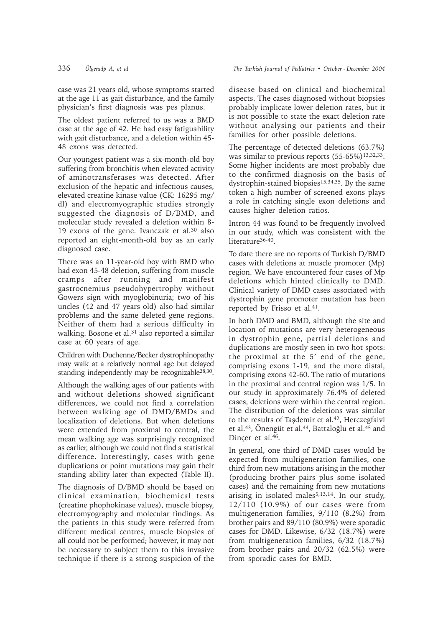case was 21 years old, whose symptoms started at the age 11 as gait disturbance, and the family physician's first diagnosis was pes planus.

The oldest patient referred to us was a BMD case at the age of 42. He had easy fatiguability with gait disturbance, and a deletion within 45- 48 exons was detected.

Our youngest patient was a six-month-old boy suffering from bronchitis when elevated activity of aminotransferases was detected. After exclusion of the hepatic and infectious causes, elevated creatine kinase value (CK: 16295 mg/ dl) and electromyographic studies strongly suggested the diagnosis of D/BMD, and molecular study revealed a deletion within 8- 19 exons of the gene. Ivanczak et al.30 also reported an eight-month-old boy as an early diagnosed case.

There was an 11-year-old boy with BMD who had exon 45-48 deletion, suffering from muscle cramps after running and manifest gastrocnemius pseudohypertrophy without Gowers sign with myoglobinuria; two of his uncles (42 and 47 years old) also had similar problems and the same deleted gene regions. Neither of them had a serious difficulty in walking. Bosone et al.<sup>31</sup> also reported a similar case at 60 years of age.

Children with Duchenne/Becker dystrophinopathy may walk at a relatively normal age but delayed standing independently may be recognizable28,30.

Although the walking ages of our patients with and without deletions showed significant differences, we could not find a correlation between walking age of DMD/BMDs and localization of deletions. But when deletions were extended from proximal to central, the mean walking age was surprisingly recognized as earlier, although we could not find a statistical difference. Interestingly, cases with gene duplications or point mutations may gain their standing ability later than expected (Table II).

The diagnosis of D/BMD should be based on clinical examination, biochemical tests (creatine phophokinase values), muscle biopsy, electromyography and molecular findings. As the patients in this study were referred from different medical centres, muscle biopsies of all could not be performed; however, it may not be necessary to subject them to this invasive technique if there is a strong suspicion of the

disease based on clinical and biochemical aspects. The cases diagnosed without biopsies probably implicate lower deletion rates, but it is not possible to state the exact deletion rate without analysing our patients and their families for other possible deletions.

The percentage of detected deletions (63.7%) was similar to previous reports (55-65%)<sup>13,32,33</sup>. Some higher incidents are most probably due to the confirmed diagnosis on the basis of dystrophin-stained biopsies15,34,35. By the same token a high number of screened exons plays a role in catching single exon deletions and causes higher deletion ratios.

Intron 44 was found to be frequently involved in our study, which was consistent with the literature<sup>36-40</sup>.

To date there are no reports of Turkish D/BMD cases with deletions at muscle promoter (Mp) region. We have encountered four cases of Mp deletions which hinted clinically to DMD. Clinical variety of DMD cases associated with dystrophin gene promoter mutation has been reported by Frisso et al.<sup>41</sup>.

In both DMD and BMD, although the site and location of mutations are very heterogeneous in dystrophin gene, partial deletions and duplications are mostly seen in two hot spots: the proximal at the  $5'$  end of the gene, comprising exons 1-19, and the more distal, comprising exons 42-60. The ratio of mutations in the proximal and central region was 1/5. In our study in approximately 76.4% of deleted cases, deletions were within the central region. The distribution of the deletions was similar to the results of Taşdemir et al.<sup>42</sup>, Herczegfalvi et al.<sup>43</sup>, Önengüt et al.<sup>44</sup>, Battaloğlu et al.<sup>45</sup> and Dincer et al.<sup>46</sup>.

In general, one third of DMD cases would be expected from multigeneration families, one third from new mutations arising in the mother (producing brother pairs plus some isolated cases) and the remaining from new mutations arising in isolated males<sup>5,13,14</sup>. In our study, 12/110 (10.9%) of our cases were from multigeneration families, 9/110 (8.2%) from brother pairs and 89/110 (80.9%) were sporadic cases for DMD. Likewise, 6/32 (18.7%) were from multigeneration families, 6/32 (18.7%) from brother pairs and 20/32 (62.5%) were from sporadic cases for BMD.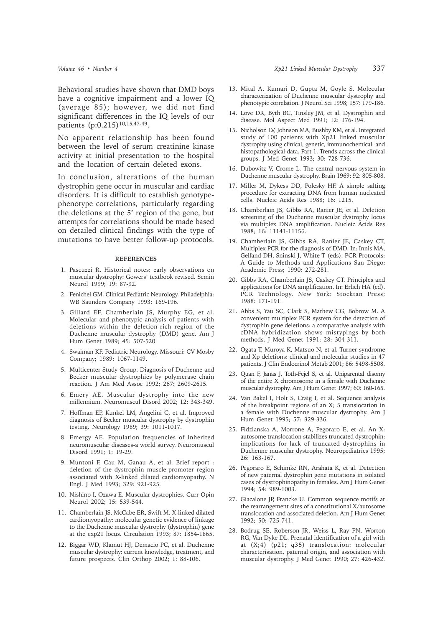Behavioral studies have shown that DMD boys have a cognitive impairment and a lower IQ (average 85); however, we did not find significant differences in the IQ levels of our patients (p:0.215)<sup>10,15,47-49</sup>.

No apparent relationship has been found between the level of serum creatinine kinase activity at initial presentation to the hospital and the location of certain deleted exons.

In conclusion, alterations of the human dystrophin gene occur in muscular and cardiac disorders. It is difficult to establish genotypephenotype correlations, particularly regarding the deletions at the 5' region of the gene, but attempts for correlations should be made based on detailed clinical findings with the type of mutations to have better follow-up protocols.

#### **REFERENCES**

- 1. Pascuzzi R. Historical notes: early observations on muscular dystrophy: Gowers' textbook revised. Semin Neurol 1999; 19: 87-92.
- 2. Fenichel GM. Clinical Pediatric Neurology. Philadelphia: WB Saunders Company 1993: 169-196.
- 3. Gillard EF, Chamberlain JS, Murphy EG, et al. Molecular and phenotypic analysis of patients with deletions within the deletion-rich region of the Duchenne muscular dystrophy (DMD) gene. Am J Hum Genet 1989; 45: 507-520.
- 4. Swaiman KF. Pediatric Neurology. Missouri: CV Mosby Company; 1989: 1067-1149.
- 5. Multicenter Study Group. Diagnosis of Duchenne and Becker muscular dystrophies by polymerase chain reaction. J Am Med Assoc 1992; 267: 2609-2615.
- 6. Emery AE. Muscular dystrophy into the new millennium. Neuromuscul Disord 2002; 12: 343-349.
- 7. Hoffman EP, Kunkel LM, Angelini C, et al. Improved diagnosis of Becker muscular dystrophy by dystrophin testing. Neurology 1989; 39: 1011-1017.
- 8. Emergy AE. Population frequencies of inherited neuromuscular diseases-a world survey. Neuromuscul Disord 1991; 1: 19-29.
- 9. Muntoni F, Cau M, Ganau A, et al. Brief report : deletion of the dystrophin muscle-promoter region associated with X-linked dilated cardiomyopathy. N Engl. J Med 1993; 329: 921-925.
- 10. Nishino I, Ozawa E. Muscular dystrophies. Curr Opin Neurol 2002; 15: 539-544.
- 11. Chamberlain JS, McCabe ER, Swift M. X-linked dilated cardiomyopathy: molecular genetic evidence of linkage to the Duchenne muscular dystrophy (dystrophin) gene at the exp21 locus. Circulation 1993; 87: 1854-1865.
- 12. Biggar WD, Klamut HJ, Demacio PC, et al. Duchenne muscular dystrophy: current knowledge, treatment, and future prospects. Clin Orthop 2002; 1: 88-106.
- 13. Mital A, Kumari D, Gupta M, Goyle S. Molecular characterization of Duchenne muscular dystrophy and phenotypic correlation. J Neurol Sci 1998; 157: 179-186.
- 14. Love DR, Byth BC, Tinsley JM, et al. Dystrophin and disease. Mol Aspect Med 1991; 12: 176-194.
- 15. Nicholson LV, Johnson MA, Bushby KM, et al. Integrated study of 100 patients with Xp21 linked muscular dystrophy using clinical, genetic, immunochemical, and histopathological data. Part 1. Trends across the clinical groups. J Med Genet 1993; 30: 728-736.
- 16. Dubowitz V, Crome L. The central nervous system in Duchenne muscular dystrophy. Brain 1969; 92: 805-808.
- 17. Miller M, Dykess DD, Polesky HF. A simple salting procedure for extracting DNA from human nucleated cells. Nucleic Acids Res 1988; 16: 1215.
- 18. Chamberlain JS, Gibbs RA, Ranier JE, et al. Deletion screening of the Duchenne muscular dystrophy locus via multiplex DNA amplification. Nucleic Acids Res 1988; 16: 11141-11156.
- 19. Chamberlain JS, Gibbs RA, Ranier JE, Caskey CT, Multiplex PCR for the diagnosis of DMD. In: Innis MA, Gelfand DH, Sninski J, White T (eds). PCR Protocols: A Guide to Methods and Applications San Diego: Academic Press; 1990: 272-281.
- 20. Gibbs RA, Chamberlain JS, Caskey CT. Principles and applications for DNA amplification. In: Erlich HA (ed). PCR Technology. New York: Stocktan Press; 1988: 171-191.
- 21. Abbs S, Yau SC, Clark S, Mathew CG, Bobrow M. A convenient multiplex PCR system for the detection of dystrophin gene deletions: a comparative analysis with cDNA hybridization shows mistypings by both methods. J Med Genet 1991; 28: 304-311.
- 22. Ogata T, Muroya K, Matsuo N, et al. Turner syndrome and Xp deletions: clinical and molecular studies in 47 patients. J Clin Endocrinol Metab 2001; 86: 5498-5508.
- 23. Quan F, Janas J, Toth-Fejel S, et al. Uniparental disomy of the entire X chromosome in a female with Duchenne muscular dystrophy. Am J Hum Genet 1997; 60: 160-165.
- 24. Van Bakel I, Holt S, Craig I, et al. Sequence analysis of the breakpoint regions of an X; 5 transiocation in a female with Duchenne muscular dystrophy. Am J Hum Genet 1995; 57: 329-336.
- 25. Fidzianska A, Morrone A, Pegoraro E, et al. An X: autosome translocation stabilizes truncated dystrophin: implications for lack of truncated dystrophins in Duchenne muscular dystrophy. Neuropediatrics 1995; 26: 163-167.
- 26. Pegoraro E, Schimke RN, Arahata K, et al. Detection of new paternal dystrophin gene mutations in isolated cases of dystrophinopathy in females. Am J Hum Genet 1994; 54: 989-1003.
- 27. Giacalone JP, Francke U. Common sequence motifs at the rearrangement sites of a constitutional X/autosome translocation and associated deletion. Am J Hum Genet 1992; 50: 725-741.
- 28. Bodrug SE, Roberson JR, Weiss L, Ray PN, Worton RG, Van Dyke DL. Prenatal identification of a girl with at (X;4) (p21; q35) translocation: molecular characterisation, paternal origin, and association with muscular dystrophy. J Med Genet 1990; 27: 426-432.